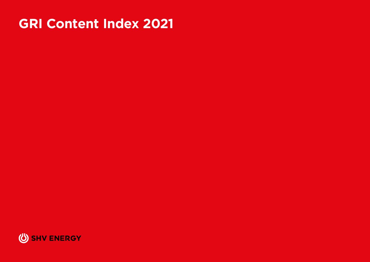# **GRI Content Index 2021**

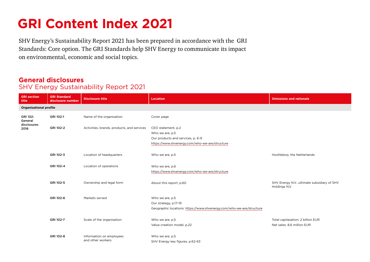# **GRI Content Index 2021**

SHV Energy's Sustainability Report 2021 has been prepared in accordance with the GRI Standards: Core option. The GRI Standards help SHV Energy to communicate its impact on environmental, economic and social topics.

## **General disclosures**

### SHV Energy Sustainability Report 2021

| <b>GRI</b> section<br>title           | <b>GRI Standard</b><br>disclosure number | <b>Disclosure title</b>                    | <b>Location</b>                                                      | <b>Omissions and rationale</b>                               |
|---------------------------------------|------------------------------------------|--------------------------------------------|----------------------------------------------------------------------|--------------------------------------------------------------|
| <b>Organisational profile</b>         |                                          |                                            |                                                                      |                                                              |
| GRI 102:<br>General<br>disclosures    | GRI 102-1                                | Name of the organisation                   | Cover page                                                           |                                                              |
| 2016                                  | GRI 102-2                                | Activities, brands, products, and services | CEO statement, p.2                                                   |                                                              |
|                                       |                                          |                                            | Who we are, p.5                                                      |                                                              |
|                                       |                                          |                                            | Our products and services, p. 6-9                                    |                                                              |
|                                       |                                          |                                            | https://www.shvenergy.com/who-we-are/structure                       |                                                              |
|                                       |                                          |                                            |                                                                      |                                                              |
|                                       | GRI 102-3                                | Location of headquarters                   | Who we are, p.5                                                      | Hoofddorp, the Netherlands                                   |
|                                       |                                          |                                            |                                                                      |                                                              |
|                                       | GRI 102-4                                | Location of operations                     | Who we are, p.6                                                      |                                                              |
|                                       |                                          |                                            | https://www.shvenergy.com/who-we-are/structure                       |                                                              |
|                                       |                                          |                                            |                                                                      |                                                              |
| GRI 102-5<br>Ownership and legal form |                                          |                                            | About this report, p.60                                              | SHV Energy N.V., ultimate subsidiary of SHV<br>Holdings N.V. |
|                                       | GRI 102-6                                | Markets served                             | Who we are, p.5                                                      |                                                              |
|                                       |                                          |                                            | Our strategy, p.17-19                                                |                                                              |
|                                       |                                          |                                            | Geographic locations: https://www.shvenergy.com/who-we-are/structure |                                                              |
|                                       |                                          |                                            |                                                                      |                                                              |
|                                       | GRI 102-7                                | Scale of the organisation                  | Who we are, p.5                                                      | Total capilasation: 2 billion EUR                            |
|                                       |                                          |                                            | Value creation model, p.22                                           | Net sales: 8.6 million EUR                                   |
|                                       |                                          |                                            |                                                                      |                                                              |
|                                       | GRI 102-8                                | Information on employees                   | Who we are, p.5                                                      |                                                              |
|                                       |                                          | and other workers                          | SHV Energy key figures, p.62-63                                      |                                                              |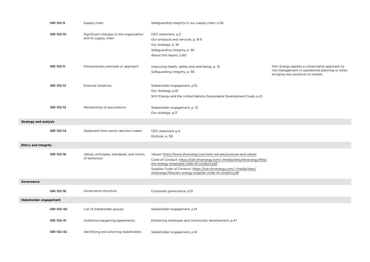|                              | GRI 102-9  | Supply chain                                                    | Safeguarding integrity in our supply chain, p.56                                                                                                                                                                                                                                                                         |                                                                                                                                      |
|------------------------------|------------|-----------------------------------------------------------------|--------------------------------------------------------------------------------------------------------------------------------------------------------------------------------------------------------------------------------------------------------------------------------------------------------------------------|--------------------------------------------------------------------------------------------------------------------------------------|
|                              | GRI 102-10 | Significant changes to the organisation<br>and its supply chain | CEO statement, p.2<br>Our products and services, p. 8-9<br>Our strategy, p. 18<br>Safeguarding integrity, p. 56<br>About this report, p.60                                                                                                                                                                               |                                                                                                                                      |
|                              | GRI 102-11 | Precautionary principle or approach                             | Improving health, safety and well-being, p. 31<br>Safeguarding integrity, p. 56                                                                                                                                                                                                                                          | SHV Energy applies a conservative approach to<br>risk management in operational planning or when<br>bringing new products to market. |
|                              | GRI 102-12 | <b>External initiatives</b>                                     | Stakeholder engagement, p.15,<br>Our Strategy, p.19<br>SHV Energy and the United Nations Sustainable Development Goals, p.21                                                                                                                                                                                             |                                                                                                                                      |
|                              | GRI 102-13 | Membership of associations                                      | Stakeholder engagement, p. 15<br>Our strategy, p.17                                                                                                                                                                                                                                                                      |                                                                                                                                      |
| <b>Strategy and analysis</b> |            |                                                                 |                                                                                                                                                                                                                                                                                                                          |                                                                                                                                      |
|                              | GRI 102-14 | Statement from senior decision-maker                            | CEO statement p.4<br>Outlook, p. 59                                                                                                                                                                                                                                                                                      |                                                                                                                                      |
| <b>Ethics and integrity</b>  |            |                                                                 |                                                                                                                                                                                                                                                                                                                          |                                                                                                                                      |
|                              | GRI 102-16 | Values, principles, standards, and norms<br>of behaviour        | Values: https://www.shvenergy.com/who-we-are/purpose-and-values<br>Code of Conduct: https://cdn.shvenergy.com/-/media/sites/shvenergy/files/<br>shv-energy-employee-code-of-conduct.pdf<br>Supplier Code of Conduct: https://cdn.shvenergy.com/-/media/sites/<br>shvenergy/files/shv-energy-supplier-code-of-conduct.pdf |                                                                                                                                      |
| Governance                   |            |                                                                 |                                                                                                                                                                                                                                                                                                                          |                                                                                                                                      |
|                              | GRI 102-18 | Governance structure                                            | Corporate governance, p.10                                                                                                                                                                                                                                                                                               |                                                                                                                                      |
| Stakeholder engagement       |            |                                                                 |                                                                                                                                                                                                                                                                                                                          |                                                                                                                                      |
|                              | GRI 102-40 | List of stakeholder groups                                      | Stakeholder engagement, p.14                                                                                                                                                                                                                                                                                             |                                                                                                                                      |
|                              | GRI 102-41 | Collective bargaining agreements                                | Enhancing employee and community development, p.47                                                                                                                                                                                                                                                                       |                                                                                                                                      |
|                              | GRI 102-42 | Identifying and selecting stakeholders                          | Stakeholder engagement, p.14                                                                                                                                                                                                                                                                                             |                                                                                                                                      |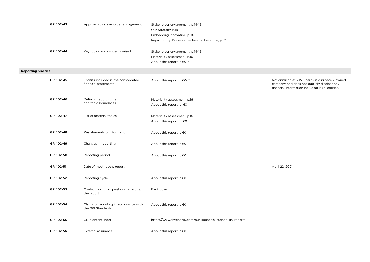|                           | GRI 102-43 | Approach to stakeholder engagement                            | Stakeholder engagement, p.14-15<br>Our Strategy, p.19<br>Embedding innovation, p.36<br>Impact story: Preventative health check-ups, p. 31 |                                                                                                                                                  |
|---------------------------|------------|---------------------------------------------------------------|-------------------------------------------------------------------------------------------------------------------------------------------|--------------------------------------------------------------------------------------------------------------------------------------------------|
|                           | GRI 102-44 | Key topics and concerns raised                                | Stakeholder engagement, p.14-15<br>Materiality assessment, p.16<br>About this report, p.60-61                                             |                                                                                                                                                  |
| <b>Reporting practice</b> |            |                                                               |                                                                                                                                           |                                                                                                                                                  |
|                           | GRI 102-45 | Entities included in the consolidated<br>financial statements | About this report, p.60-61                                                                                                                | Not applicable: SHV Energy is a privately-owned<br>company and does not publicly disclose any<br>financial information including legal entities. |
|                           | GRI 102-46 | Defining report content<br>and topic boundaries               | Materiality assessment, p.16<br>About this report, p. 60                                                                                  |                                                                                                                                                  |
|                           | GRI 102-47 | List of material topics                                       | Materiality assessment, p.16<br>About this report, p. 60                                                                                  |                                                                                                                                                  |
|                           | GRI 102-48 | Restatements of information                                   | About this report, p.60                                                                                                                   |                                                                                                                                                  |
|                           | GRI 102-49 | Changes in reporting                                          | About this report, p.60                                                                                                                   |                                                                                                                                                  |
|                           | GRI 102-50 | Reporting period                                              | About this report, p.60                                                                                                                   |                                                                                                                                                  |
|                           | GRI 102-51 | Date of most recent report                                    |                                                                                                                                           | April 22, 2021                                                                                                                                   |
|                           | GRI 102-52 | Reporting cycle                                               | About this report, p.60                                                                                                                   |                                                                                                                                                  |
|                           | GRI 102-53 | Contact point for questions regarding<br>the report           | Back cover                                                                                                                                |                                                                                                                                                  |
|                           | GRI 102-54 | Claims of reporting in accordance with<br>the GRI Standards   | About this report, p.60                                                                                                                   |                                                                                                                                                  |
|                           | GRI 102-55 | <b>GRI Content Index</b>                                      | https://www.shvenergy.com/our-impact/sustainability-reports                                                                               |                                                                                                                                                  |
|                           | GRI 102-56 | External assurance                                            | About this report, p.60                                                                                                                   |                                                                                                                                                  |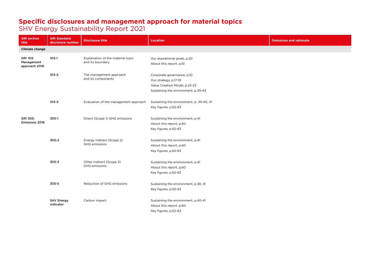#### **Specific disclosures and management approach for material topics**

SHV Energy Sustainability Report 2021

| <b>GRI section</b><br>title                                                                                                                                                                          | <b>GRI Standard</b><br>disclosure number                                            | <b>Disclosure title</b>                               | <b>Location</b>                                                                                                             | <b>Omissions and rationale</b> |
|------------------------------------------------------------------------------------------------------------------------------------------------------------------------------------------------------|-------------------------------------------------------------------------------------|-------------------------------------------------------|-----------------------------------------------------------------------------------------------------------------------------|--------------------------------|
| <b>Climate change</b>                                                                                                                                                                                |                                                                                     |                                                       |                                                                                                                             |                                |
| GRI 103:<br>Management<br>approach 2016                                                                                                                                                              | $103-1$                                                                             | Explanation of the material topic<br>and its boundary | Our aspirational goals, p.20<br>About this report, p.61                                                                     |                                |
|                                                                                                                                                                                                      | $103 - 2$                                                                           | The management approach<br>and its components         | Corporate governance, p.10<br>Our strategy, p.17-19<br>Value Creation Model, p.22-23<br>Sustaining the environment, p.39-43 |                                |
|                                                                                                                                                                                                      | $103 - 3$                                                                           | Evaluation of the management approach                 | Sustaining the environment, p. 39-40, 41<br>Key figures, p.62-63                                                            |                                |
| GRI 305:<br>305-1<br>Direct (Scope 1) GHG emissions<br><b>Emissions 2016</b><br>305-2<br>Energy indirect (Scope 2)<br><b>GHG</b> emissions<br>$305 - 3$<br>Other indirect (Scope 3)<br>GHG emissions |                                                                                     |                                                       | Sustaining the environment, p.41<br>About this report, p.60<br>Key figures, p.62-63                                         |                                |
|                                                                                                                                                                                                      |                                                                                     |                                                       | Sustaining the environment, p.41<br>About this report, p.60<br>Key figures, p.62-63                                         |                                |
|                                                                                                                                                                                                      | Sustaining the environment, p.41<br>About this report, p.60<br>Key figures, p.62-63 |                                                       |                                                                                                                             |                                |
|                                                                                                                                                                                                      | 305-5<br>Reduction of GHG emissions                                                 |                                                       | Sustaining the environment, p.38, 41<br>Key figures, p.62-63                                                                |                                |
|                                                                                                                                                                                                      | <b>SHV Energy</b><br>indicator                                                      | Carbon Impact                                         | Sustaining the environment, p.40-41<br>About this report, p.60<br>Key figures, p.62-63                                      |                                |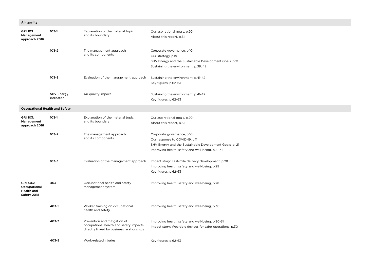| Air quality                                           |                                |                                                                                                                     |                                                                                                                                                                             |  |
|-------------------------------------------------------|--------------------------------|---------------------------------------------------------------------------------------------------------------------|-----------------------------------------------------------------------------------------------------------------------------------------------------------------------------|--|
| GRI 103:<br>Management<br>approach 2016               | $103-1$                        | Explanation of the material topic<br>and its boundary                                                               | Our aspirational goals, p.20<br>About this report, p.61                                                                                                                     |  |
|                                                       | $103 - 2$                      | The management approach<br>and its components                                                                       | Corporate governance, p.10<br>Our strategy, p.19<br>SHV Energy and the Sustainable Development Goals, p.21<br>Sustaining the environment, p.39, 42                          |  |
|                                                       | $103 - 3$                      | Evaluation of the management approach                                                                               | Sustaining the environment, p.41-42<br>Key figures, p.62-63                                                                                                                 |  |
|                                                       | <b>SHV Energy</b><br>indicator | Air quality impact                                                                                                  | Sustaining the environment, p.41-42<br>Key figures, p.62-63                                                                                                                 |  |
| <b>Occupational Health and Safety</b>                 |                                |                                                                                                                     |                                                                                                                                                                             |  |
| GRI 103:<br>Management<br>approach 2016               | $103-1$                        | Explanation of the material topic<br>and its boundary                                                               | Our aspirational goals, p.20<br>About this report, p.61                                                                                                                     |  |
|                                                       | $103 - 2$                      | The management approach<br>and its components                                                                       | Corporate governance, p.10<br>Our response to COVID-19, p.11<br>SHV Energy and the Sustainable Development Goals, p. 21<br>Improving health, safety and well-being, p.21-31 |  |
|                                                       | $103 - 3$                      | Evaluation of the management approach                                                                               | Impact story: Last-mile delivery development, p.28<br>Improving health, safety and well-being, p.29<br>Key figures, p.62-63                                                 |  |
| GRI 403:<br>Occupational<br>Health and<br>Safety 2018 | 403-1                          | Occupational health and safety<br>management system                                                                 | Improving health, safety and well-being, p.28                                                                                                                               |  |
|                                                       | 403-5                          | Worker training on occupational<br>health and safety                                                                | Improving health, safety and well-being, p.30                                                                                                                               |  |
|                                                       | 403-7                          | Prevention and mitigation of<br>occupational health and safety impacts<br>directly linked by business relationships | Improving health, safety and well-being, p.30-31<br>Impact story: Wearable devices for safer operations, p.30                                                               |  |
|                                                       | 403-9                          | Work-related injuries                                                                                               | Key figures, p.62-63                                                                                                                                                        |  |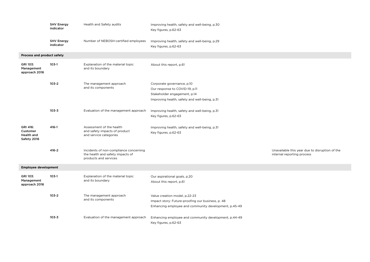|                                                          | <b>SHV Energy</b><br>indicator | Health and Safety audits                                                                            | Improving health, safety and well-being, p.30<br>Key figures, p.62-63                                                                         |                                                                              |
|----------------------------------------------------------|--------------------------------|-----------------------------------------------------------------------------------------------------|-----------------------------------------------------------------------------------------------------------------------------------------------|------------------------------------------------------------------------------|
|                                                          | <b>SHV Energy</b><br>indicator | Number of NEBOSH-certified employees                                                                | Improving health, safety and well-being, p.29<br>Key figures, p.62-63                                                                         |                                                                              |
| Process and product safety                               |                                |                                                                                                     |                                                                                                                                               |                                                                              |
| GRI 103:<br>Management<br>approach 2016                  | $103-1$                        | Explanation of the material topic<br>and its boundary                                               | About this report, p.61                                                                                                                       |                                                                              |
|                                                          | $103 - 2$                      | The management approach<br>and its components                                                       | Corporate governance, p.10<br>Our response to COVID-19, p.11<br>Stakeholder engagement, p.14<br>Improving health, safety and well-being, p.31 |                                                                              |
|                                                          | $103 - 3$                      | Evaluation of the management approach                                                               | Improving health, safety and well-being, p.31<br>Key figures, p.62-63                                                                         |                                                                              |
| GRI 416:<br>Customer<br><b>Health and</b><br>Safety 2016 | 416-1                          | Assessment of the health<br>and safety impacts of product<br>and service categories                 | Improving health, safety and well-being, p.31<br>Key figures, p.62-63                                                                         |                                                                              |
|                                                          | $416 - 2$                      | Incidents of non-compliance concerning<br>the health and safety impacts of<br>products and services |                                                                                                                                               | Unavailable this year due to disruption of the<br>internal reporting process |
| <b>Employee development</b>                              |                                |                                                                                                     |                                                                                                                                               |                                                                              |
| GRI 103:<br>Management<br>approach 2016                  | $103-1$                        | Explanation of the material topic<br>and its boundary                                               | Our aspirational goals, p.20<br>About this report, p.61                                                                                       |                                                                              |
|                                                          | $103 - 2$                      | The management approach<br>and its components                                                       | Value creation model, p.22-23<br>Impact story: Future-proofing our business, p. 48<br>Enhancing employee and community development, p.45-49   |                                                                              |
|                                                          | $103 - 3$                      | Evaluation of the management approach                                                               | Enhancing employee and community development, p.44-49<br>Key figures, p.62-63                                                                 |                                                                              |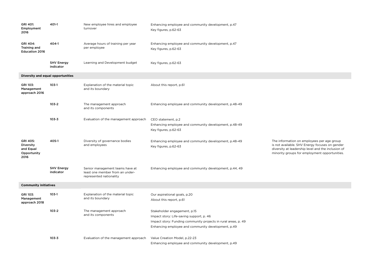| GRI 401:<br>Employment<br>2016                            | 401-1                          | New employee hires and employee<br>turnover                                                   | Enhancing employee and community development, p.47<br>Key figures, p.62-63                                                                                                                       |                                                                                                                                                                                                     |
|-----------------------------------------------------------|--------------------------------|-----------------------------------------------------------------------------------------------|--------------------------------------------------------------------------------------------------------------------------------------------------------------------------------------------------|-----------------------------------------------------------------------------------------------------------------------------------------------------------------------------------------------------|
| GRI 404:<br>Training and<br><b>Education 2016</b>         | 404-1                          | Average hours of training per year<br>per employee                                            | Enhancing employee and community development, p.47<br>Key figures, p.62-63                                                                                                                       |                                                                                                                                                                                                     |
|                                                           | <b>SHV Energy</b><br>indicator | Learning and Development budget                                                               | Key figures, p.62-63                                                                                                                                                                             |                                                                                                                                                                                                     |
| Diversity and equal opportunities                         |                                |                                                                                               |                                                                                                                                                                                                  |                                                                                                                                                                                                     |
| GRI 103:<br>Management<br>approach 2016                   | $103-1$                        | Explanation of the material topic<br>and its boundary                                         | About this report, p.61                                                                                                                                                                          |                                                                                                                                                                                                     |
|                                                           | $103 - 2$                      | The management approach<br>and its components                                                 | Enhancing employee and community development, p.48-49                                                                                                                                            |                                                                                                                                                                                                     |
|                                                           | $103 - 3$                      | Evaluation of the management approach                                                         | CEO statement, p.2<br>Enhancing employee and community development, p.48-49<br>Key figures, p.62-63                                                                                              |                                                                                                                                                                                                     |
| GRI 405:<br>Diversity<br>and Equal<br>Opportunity<br>2016 | 405-1                          | Diversity of governance bodies<br>and employees                                               | Enhancing employee and community development, p.48-49<br>Key figures, p.62-63                                                                                                                    | The information on employees per age group<br>is not available. SHV Energy focuses on gender<br>diversity at leadership level and the inclusion of<br>minority groups for employment opportunities. |
|                                                           | <b>SHV Energy</b><br>indicator | Senior management teams have at<br>least one member from an under-<br>represented nationality | Enhancing employee and community development, p.44, 49                                                                                                                                           |                                                                                                                                                                                                     |
| <b>Community initiatives</b>                              |                                |                                                                                               |                                                                                                                                                                                                  |                                                                                                                                                                                                     |
| GRI 103:<br>Management<br>approach 2018                   | $103-1$                        | Explanation of the material topic<br>and its boundary                                         | Our aspirational goals, p.20<br>About this report, p.61                                                                                                                                          |                                                                                                                                                                                                     |
|                                                           | $103 - 2$                      | The management approach<br>and its components                                                 | Stakeholder engagement, p.15<br>Impact story: Life-saving support, p. 46<br>Impact story: Funding community projects in rural areas, p. 49<br>Enhancing employee and community development, p.49 |                                                                                                                                                                                                     |
|                                                           | $103 - 3$                      | Evaluation of the management approach                                                         | Value Creation Model, p.22-23<br>Enhancing employee and community development, p.49                                                                                                              |                                                                                                                                                                                                     |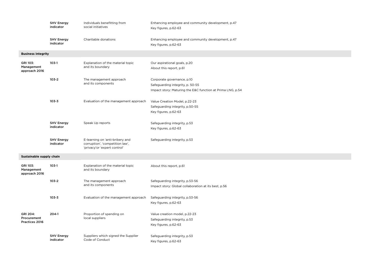|                                                  | <b>SHV Energy</b><br>indicator | Individuals benefitting from<br>social initiatives                                                 | Enhancing employee and community development, p.47<br>Key figures, p.62-63                                                   |
|--------------------------------------------------|--------------------------------|----------------------------------------------------------------------------------------------------|------------------------------------------------------------------------------------------------------------------------------|
|                                                  | <b>SHV Energy</b><br>indicator | Charitable donations                                                                               | Enhancing employee and community development, p.47<br>Key figures, p.62-63                                                   |
| <b>Business integrity</b>                        |                                |                                                                                                    |                                                                                                                              |
| GRI 103:<br>Management<br>approach 2016          | $103-1$                        | Explanation of the material topic<br>and its boundary                                              | Our aspirational goals, p.20<br>About this report, p.61                                                                      |
|                                                  | $103 - 2$                      | The management approach<br>and its components                                                      | Corporate governance, p.10<br>Safeguarding integrity, p. 50-55<br>Impact story: Maturing the E&C function at Prima LNG, p.54 |
|                                                  | $103 - 3$                      | Evaluation of the management approach                                                              | Value Creation Model, p.22-23<br>Safeguarding integrity, p.50-55<br>Key figures, p.62-63                                     |
|                                                  | <b>SHV Energy</b><br>indicator | Speak Up reports                                                                                   | Safeguarding integrity, p.53<br>Key figures, p.62-63                                                                         |
|                                                  | <b>SHV Energy</b><br>indicator | E-learning on 'anti-bribery and<br>corruption', 'competition law',<br>'privacy'or 'expert control' | Safeguarding integrity, p.53                                                                                                 |
| Sustainable supply chain                         |                                |                                                                                                    |                                                                                                                              |
| GRI 103:<br>Management<br>approach 2016          | $103-1$                        | Explanation of the material topic<br>and its boundary                                              | About this report, p.61                                                                                                      |
|                                                  | $103 - 2$                      | The management approach<br>and its components                                                      | Safeguarding integrity, p.53-56<br>Impact story: Global collaboration at its best, p.56                                      |
|                                                  | $103 - 3$                      | Evaluation of the management approach                                                              | Safeguarding integrity, p.53-56<br>Key figures, p.62-63                                                                      |
| GRI 204:<br>Procurement<br><b>Practices 2016</b> | $204-1$                        | Proportion of spending on<br>local suppliers                                                       | Value creation model, p.22-23<br>Safeguarding integrity, p.53<br>Key figures, p.62-63                                        |
|                                                  | <b>SHV Energy</b><br>indicator | Suppliers which signed the Supplier<br>Code of Conduct                                             | Safeguarding integrity, p.53<br>Key figures, p.62-63                                                                         |